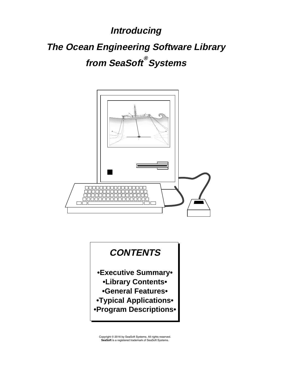**Introducing The Ocean Engineering Software Library from SeaSoft Systems ®**



# **CONTENTS**

- **•Executive Summary• •Library Contents•**
	- **•General Features•**
- **•Typical Applications•**
- **•Program Descriptions•**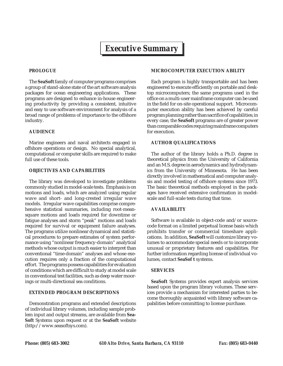# *Executive Summary*

#### **PROLOGUE**

The **SeaSoft** family of computer programs comprises a group of stand-alone state of the art software analysis packages for ocean engineering applications. These programs are designed to enhance in-house engineering productivity by providing a consistent, intuitive and easy to use software environment for analysis of a broad range of problems of importance to the offshore industry.

#### **AUDIENCE**

Marine engineers and naval architects engaged in offshore operations or design. No special analytical, computational or computer skills are required to make full use of these tools.

#### **OBJECTIVES AND CAPABILITIES**

The library was developed to investigate problems commonly studied in model-scale tests. Emphasis is on motions and loads, which are analyzed using regular wave and short- and long-crested irregular wave models. Irregular wave capabilities comprise comprehensive statistical summaries, including root-meansquare motions and loads required for downtime or fatigue analyses and storm "peak" motions and loads required for survival or equipment failure analyses. The programs utilize nonlinear dynamical and statistical procedures to prepare estimates of system performance using "nonlinear frequency-domain" analytical methods whose output is much easier to interpret than conventional "time-domain" analyses and whose execution requires only a fraction of the computational effort. The programs possess capabilities for evaluation of conditions which are difficult to study at model scale in conventional test facilities, such as deep water moorings or multi-directional sea conditions.

### **EXTENDED PROGRAM DESCRIPTIONS**

Demonstration programs and extended descriptions of individual library volumes, including sample problem input and output streams, are available from **Sea-Soft** Systems upon request or at the **SeaSoft** website (http://www.seasoftsys.com).

### **MICROCOMPUTER EXECUTION ABILITY**

Each program is highly transportable and has been engineered to execute efficiently on portable and desktop microcomputers; the same programs used in the office on a multi-user mainframe computer can be used in the field for on-site operational support. Microcomputer execution ability has been achieved by careful program planning rather than sacrifice of capabilities; in every case, the **SeaSoft** programs are of greater power than comparable codes requiring mainframe computers for execution.

### **AUTHOR QUALIFICATIONS**

The author of the library holds a Ph.D. degree in theoretical physics from the University of California and an M.S. degree in aerodynamics and hydrodynamics from the University of Minnesota. He has been directly involved in mathematical and computer analysis and model testing of offshore systems since 1973. The basic theoretical methods employed in the packages have received extensive confirmation in modelscale and full-scale tests during that time.

### **AVAILABILITY**

Software is available in object-code and/or sourcecode format on a limited perpetual license basis which prohibits transfer or commercial timeshare applications. In addition, **SeaSoft** will customize library volumes to accommodate special needs or to incorporate unusual or proprietary features and capabilities. For further information regarding license of individual volumes, contact **SeaSof t** systems.

### **SERVICES**

**SeaSoft** Systems provides expert analysis services based upon the program library volumes. These services provide a mechanism for interested parties to become thoroughly acquainted with library software capabilities before committing to license purchase.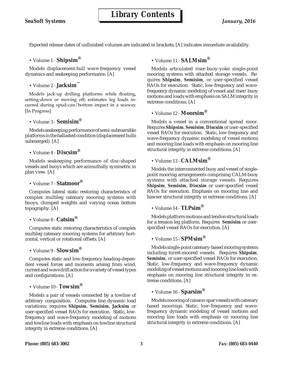Expected release dates of unfinished volumes are indicated in brackets; [A] indicates immediate availability.

• Volume 1 - **Shipsim** ®

Models displacement-hull wave-frequency vessel dynamics and seakeeping performance. [A]

• Volume 2 - **Jacksim** ™

Models jack-up drilling platforms while floating, setting-down or moving off; estimates leg loads incurred during spud-can/bottom impact in a seaway. [In Progress]

• Volume 3 - **Semisim** ®

Models seakeeping performance of semi-submersible platforms in the ballasted condition (displacement hulls submerged). [A]

• Volume 4 - **Discsim** ®

Models seakeeping performance of disc-shaped vessels and buoys which are azimuthally symmetric in plan view. [A]

• Volume 7 - **Statmoor** ®

Computes lateral static restoring characteristics of complex multileg catenary mooring systems with buoys, clumped weights and varying ocean bottom topography. [A]

### • Volume 8 - **Catsim** ®

Computes static restoring characteristics of complex multileg catenary mooring systems for arbitrary horizontal, vertical or rotational offsets. [A]

• Volume 9 - **Slowsim** ®

Computes static and low-frequency heading-dependent vessel forces and moments arising from wind, current and wave drift action for a variety of vessel types and configurations. [A]

• Volume 10 - **Towsim** ®

Models a pair of vessels connected by a towline of arbitrary composition. Computes line dynamic load variations; requires **Shipsim**, **Semisim**, **Jacksim** or user-specified vessel RAOs for execution. Static, lowfrequency and wave-frequency modeling of motions and towline loads with emphasis on towline structural integrity in extreme conditions. [A]

### • Volume 11 - **SALMsim** ®

Models articulated riser-buoy-yoke single-point mooring systems with attached storage vessels. Requires **Shipsim**, **Semisim**, or user-specified vessel RAOs for execution. Static, low-frequency and wavefrequency dynamic modeling of vessel and riser/buoy motions and loads with emphasis on SALM integrity in extreme conditions. [A]

• Volume 12 - **Moorsim** ®

Models a vessel in a conventional spread moor. Requires **Shipsim**, **Semisim**, **Discsim** or user-specified vessel RAOs for execution. Static, low-frequency and wave-frequency dynamic modeling of vessel motions and mooring line loads with emphasis on mooring line structural integrity in extreme conditions. [A]

### • Volume 13 - **CALMsim** ®

Models the interconnected buoy and vessel of singlepoint mooring arrangements comprising CALM-buoy systems with attached storage vessels. Requires **Shipsim**, **Semisim**, **Discsim** or user-specified vessel RAOs for execution. Emphasis on mooring line and hawser structural integrity in extreme conditions. [A]

• Volume 14 - **TLPsim** ®

Models platform motions and tendon structural loads for a tension leg platform. Requires **Semisim** or userspecified vessel RAOs for execution. [A]

• Volume 15 - **SPMsim** ®

Models single-point catenary-based mooring systems including turret-moored vessels. Requires **Shipsim**, **Semisim**, or user-specified vessel RAOs for execution. Static, low-frequency and wave-frequency dynamic modeling of vessel motions and mooring line loads with emphasis on mooring line structural integrity in extreme conditions. [A]

• Volume 16 - **Sparsim** ®

Models mooring of caisson-spar vessels with catenary based moorings. Static, low-frequency and wavefrequency dynamic modeling of vessel motions and mooring line loads with emphasis on mooring line structural integrity in extreme conditions. [A]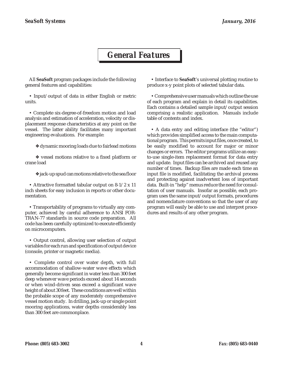## *General Features*

All **SeaSoft** program packages include the following general features and capabilities:

• Input/output of data in either English or metric units.

• Complete six-degree-of-freedom motion and load analysis and estimation of acceleration, velocity or displacement response characteristics at any point on the vessel. The latter ability facilitates many important engineering evaluations. For example:

❖ dynamic mooring loads due to fairlead motions

❖ vessel motions relative to a fixed platform or crane load

❖ jack-up spud can motions relative to the sea floor

• Attractive formatted tabular output on 8-1/2 x 11 inch sheets for easy inclusion in reports or other documentation.

• Transportability of programs to virtually any computer, achieved by careful adherence to ANSI FOR-TRAN-77 standards in source code preparation. All code has been carefully optimized to execute efficiently on microcomputers.

• Output control, allowing user selection of output variables for each run and specification of output device (console, printer or magnetic media).

• Complete control over water depth, with full accommodation of shallow-water wave effects which generally become significant in water less than 300 feet deep whenever wave periods exceed about 14 seconds or when wind-driven seas exceed a significant wave height of about 30 feet. These conditions are well within the probable scope of any moderately comprehensive vessel motion study. In drilling, jack-up or single point mooring applications, water depths considerably less than 300 feet are commonplace.

• Interface to **SeaSoft**'s universal plotting routine to produce x-y point plots of selected tabular data.

• Comprehensive user manuals which outline the use of each program and explain in detail its capabilities. Each contains a detailed sample input/output session comprising a realistic application. Manuals include table of contents and index.

• A data entry and editing interface (the "editor") which provides simplified access to the main computational program. This permits input files, once created, to be easily modified to account for major or minor changes or errors. The editor programs utilize an easyto-use single-item replacement format for data entry and update. Input files can be archived and reused any number of times. Backup files are made each time an input file is modified, facilitating the archival process and protecting against inadvertent loss of important data. Built-in "help" menus reduce the need for consultation of user manuals. Insofar as possible, each program uses the same input/output formats, procedures and nomenclature conventions so that the user of any program will easily be able to use and interpret procedures and results of any other program.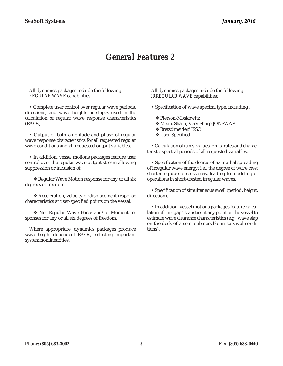## *General Features 2*

All dynamics packages include the following *REGULAR WAVE* capabilities:

• Complete user control over regular wave periods, directions, and wave heights or slopes used in the calculation of regular wave response characteristics (RAOs).

• Output of both amplitude and phase of regular wave response characteristics for all requested regular wave conditions and all requested output variables.

• In addition, vessel motions packages feature user control over the regular wave output stream allowing suppression or inclusion of:

❖ Regular Wave Motion response for any or all six degrees of freedom.

❖ Acceleration, velocity or displacement response characteristics at user-specified points on the vessel.

❖ Net Regular Wave Force and/or Moment responses for any or all six degrees of freedom.

Where appropriate, dynamics packages produce wave-height dependent RAOs, reflecting important system nonlinearities.

All dynamics packages include the following *IRREGULAR WAVE* capabilities:

- Specification of wave spectral type, including :
	- ❖ Pierson-Moskowitz
	- ❖ Mean, Sharp, Very Sharp JONSWAP
	- ❖ Bretschneider/ISSC
	- ❖ User-Specified

• Calculation of r.m.s. values, r.m.s. rates and characteristic spectral periods of all requested variables.

• Specification of the degree of azimuthal spreading of irregular wave energy; i.e., the degree of wave crest shortening due to cross seas, leading to modeling of operations in short-crested irregular waves.

• Specification of simultaneous swell (period, height, direction).

• In addition, vessel motions packages feature calculation of "air-gap" statistics at any point on the vessel to estimate wave clearance characteristics (e.g., wave slap on the deck of a semi-submersible in survival conditions).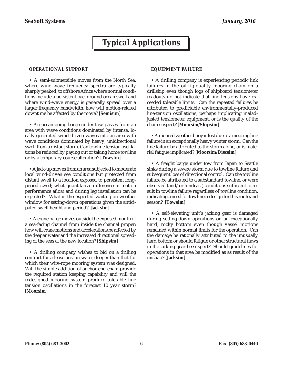# *Typical Applications*

### **OPERATIONAL SUPPORT**

• A semi-submersible moves from the North Sea, where wind-wave frequency spectra are typically sharply peaked, to offshore Africa where normal conditions include a persistent background ocean swell and where wind-wave energy is generally spread over a larger frequency bandwidth; how will motion-related downtime be affected by the move? [**Semisim**]

• An ocean-going barge under tow passes from an area with wave conditions dominated by intense, locally generated wind driven waves into an area with wave conditions dominated by heavy, unidirectional swell from a distant storm. Can towline tension oscillations be reduced by paying out or taking home towline or by a temporary course alteration? [**Towsim**]

• A jack-up moves from an area subjected to moderate local wind-driven sea conditions but protected from distant swell to a location exposed to persistent longperiod swell; what quantitative difference in motion performance afloat and during leg installation can be expected? What is the expected waiting-on-weather window for setting-down operations given the anticipated swell height and period? [**Jacksim**]

• A crane barge moves outside the exposed mouth of a sea-facing channel from inside the channel proper; how will crane motions and accelerations be affected by the deeper water and the increased directional spreading of the seas at the new location? [**Shipsim**]

• A drilling company wishes to bid on a drilling contract for a lease area in water deeper than that for which their wire-rope mooring system was designed. Will the simple addition of anchor-end chain provide the required station keeping capability and will the redesigned mooring system produce tolerable line tension oscillations in the forecast 10 year storm? [**Moorsim**]

### **EQUIPMENT FAILURE**

• A drilling company is experiencing periodic link failures in the oil-rig-quality mooring chain on a drillship even though logs of shipboard tensiometer readouts do not indicate that line tensions have exceeded tolerable limits. Can the repeated failures be attributed to predictable environmentally-produced line-tension oscillations, perhaps implicating maladjusted tensiometer equipment, or is the quality of the chain suspect? [**Moorsim/Shipsim**]

• A moored weather buoy is lost due to a mooring line failure in an exceptionally heavy winter storm. Can the line failure be attributed to the storm alone, or is material fatigue implicated? [**Moorsim/Discsim**]

• A freight barge under tow from Japan to Seattle sinks during a severe storm due to towline failure and subsequent loss of directional control. Can the towline failure be attributed to a substandard towline, or were observed (and/or hindcast) conditions sufficient to result in towline failure regardless of towline condition, indicating a need for towline redesign for this route and season? [**Towsim**]

• A self-elevating unit's jacking gear is damaged during setting-down operations on an exceptionally hard, rocky bottom even though vessel motions remained within normal limits for the operation. Can the damage be rationally attributed to the unusually hard bottom or should fatigue or other structural flaws in the jacking gear be suspect? Should guidelines for operations in that area be modified as as result of the mishap? [**Jacksim**]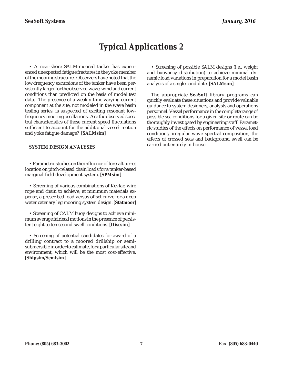# *Typical Applications 2*

• A near-shore SALM-moored tanker has experienced unexpected fatigue fractures in the yoke member of the mooring structure. Observers have noted that the low-frequency excursions of the tanker have been persistently larger for the observed wave, wind and current conditions than predicted on the basis of model test data. The presence of a weakly time-varying current component at the site, not modeled in the wave basin testing series, is suspected of exciting resonant lowfrequency mooring oscillations. Are the observed spectral characteristics of these current speed fluctuations sufficient to account for the additional vessel motion and yoke fatigue damage? [**SALMsim**]

### **SYSTEM DESIGN ANALYSES**

• Parametric studies on the influence of fore-aft turret location on pitch-related chain loads for a tanker-based marginal-field development system. [**SPMsim**]

• Screening of various combinations of Kevlar, wire rope and chain to achieve, at minimum materials expense, a prescribed load versus offset curve for a deep water catenary leg mooring system design. [**Statmoor**]

• Screening of CALM buoy designs to achieve minimum average fairlead motions in the presence of persistent eight to ten second swell conditions. [**Discsim**]

• Screening of potential candidates for award of a drilling contract to a moored drillship or semisubmersible in order to estimate, for a particular site and environment, which will be the most cost-effective. [**Shipsim/Semisim**]

• Screening of possible SALM designs (i.e., weight and buoyancy distribution) to achieve minimal dynamic load variations in preparation for a model basin analysis of a single candidate. [**SALMsim**]

The appropriate **SeaSoft** library programs can quickly evaluate these situations and provide valuable guidance to system designers, analysts and operations personnel. Vessel performance in the complete range of possible sea conditions for a given site or route can be thoroughly investigated by engineering staff. Parametric studies of the effects on performance of vessel load conditions, irregular wave spectral composition, the effects of crossed seas and background swell can be carried out entirely in-house.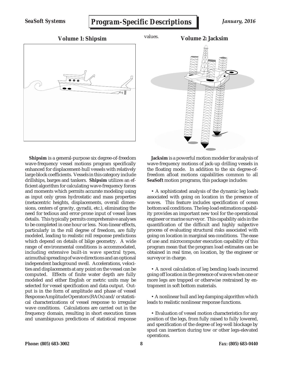*SeaSoft Systems*

## *Program-Specific Descriptions*



**Shipsim** is a general-purpose six degree-of-freedom wave-frequency vessel motions program specifically enhanced for displacement-hull vessels with relatively large block coefficients. Vessels in this category include drillships, barges and tankers. **Shipsim** utilizes an efficient algorithm for calculating wave-frequency forces and moments which permits accurate modeling using as input only gross hydrostatic and mass properties (metacentric heights, displacements, overall dimensions, centers of gravity, gyradii, etc.), eliminating the need for tedious and error-prone input of vessel lines details. This typically permits comprehensive analyses to be completed in one hour or less. Non-linear effects, particularly in the roll degree of freedom, are fully modeled, leading to realistic roll response predictions which depend on details of bilge geometry. A wide range of environmental conditions is accommodated, including extensive built-in wave spectral types, azimuthal spreading of wave directions and an optional independent background swell. Accelerations, velocities and displacements at any point on the vessel can be computed. Effects of finite water depth are fully modeled and either English or metric units may be selected for vessel specification and data output. Output is in the form of amplitude and phase of vessel Response Amplitude Operators (RAOs) and/or statistical characterizations of vessel response to irregular wave conditions. Calculations are carried out in the frequency domain, resulting in short execution times and unambiguous predictions of statistical response

**Jacksim** is a powerful motion modeler for analysis of wave-frequency motions of jack-up drilling vessels in the floating mode. In addition to the six degree-offreedom afloat motions capabilities common to all **SeaSoft** motion programs, this package includes:

• A sophisticated analysis of the dynamic leg loads associated with going on location in the presence of waves. This feature includes specification of ocean bottom soil conditions. The leg-load estimation capability provides an important new tool for the operational engineer or marine surveyor. This capability aids in the quantification of the difficult and highly subjective process of evaluating structural risks associated with going on location in marginal sea conditions. The ease of use and microcomputer execution capability of this program mean that the program load estimates can be obtained in real time, on location, by the engineer or surveyor in charge.

• A novel calculation of leg bending loads incurred going off location in the presence of waves when one or more legs are trapped or otherwise restrained by entrapment in soft bottom materials.

• A nonlinear hull and leg damping algorithm which leads to realistic nonlinear response functions.

• Evaluation of vessel motion characteristics for any position of the legs, from fully raised to fully lowered, and specification of the degree of leg-well blockage by spud can insertion during tow or other legs-elevated operations.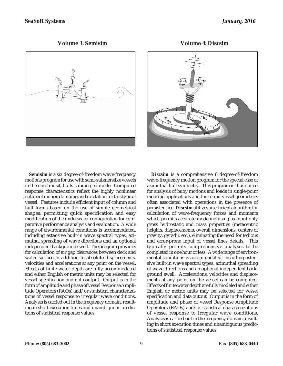**Volume 3: Semisim**



**CLAB CAN** 

**Volume 4: Discsim**

**Semisim** is a six degree-of-freedom wave-frequency motions program for use with semi-submersible vessels in the non-transit, hulls-submerged mode. Computed response characteristics reflect the highly nonlinear nature of motion damping and excitation for this type of vessel. Features include efficient input of column and hull forms based on the use of simple geometrical shapes, permitting quick specification and easy modification of the underwater configuration for comparative performance analysis and evaluation. A wide range of environmental conditions is accommodated, including extensive built-in wave spectral types, azimuthal spreading of wave directions and an optional independent background swell. The program provides for calculation of air gap clearances between deck and water surface in addition to absolute displacements, velocities and accelerations at any point on the vessel. Effects of finite water depth are fully accommodated and either English or metric units may be selected for vessel specification and data output. Output is in the form of amplitude and phase of vessel Response Amplitude Operators (RAOs) and/or statistical characterizations of vessel response to irregular wave conditions. Analysis is carried out in the frequency domain, resulting in short execution times and unambiguous predictions of statistical response values.

**Discsim** is a comprehensive 6 degree-of-freedom wave-frequency motion program for the special case of azimuthal hull symmetry. This program is thus suited for analysis of buoy motions and loads in single-point mooring applications and for round vessel geometries often associated with operations in the presence of persistent ice. **Discsim** utilizes an efficient algorithm for calculation of wave-frequency forces and moments which permits accurate modeling using as input only gross hydrostatic and mass properties (metacentric heights, displacements, overall dimensions, centers of gravity, gyradii, etc.), eliminating the need for tedious and error-prone input of vessel lines details. This typically permits comprehensive analyses to be completed in one hour or less. A wide range of environmental conditions is accommodated, including extensive built-in wave spectral types, azimuthal spreading of wave directions and an optional independent background swell. Accelerations, velocities and displacements at any point on the vessel can be computed. Effects of finite water depth are fully modeled and either English or metric units may be selected for vessel specification and data output. Output is in the form of amplitude and phase of vessel Response Amplitude Operators (RAOs) and/or statistical characterizations of vessel response to irregular wave conditions. Analysis is carried out in the frequency domain, resulting in short execution times and unambiguous predictions of statistical response values.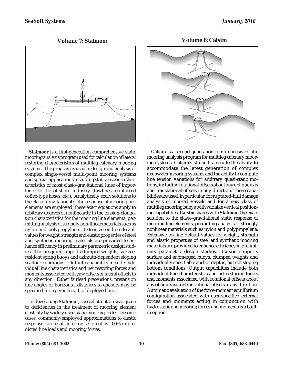**Volume 7: Statmoor Volume 8: Catsim**



**Statmoor** is a first-generation comprehensive static mooring analysis program used for calculation of lateral restoring characteristics of multileg catenary mooring systems. The program is used in design and analysis of complex single-vessel multi-point mooring systems and special applications including static response characteristics of most elasto-gravitational lines of importance to the offshore industry (towlines, reinforced coflex-type hoses, etc.). Analytically exact solutions to the elasto-gravitational static response of mooring line elements are employed; these exact equations apply to arbitrary degrees of nonlinearity in the tension-elongation characteristics for the mooring line elements, permitting analysis of strongly non-linear materials such as nylon and polypropylene. Extensive on-line default values for weight, strength and elastic properties of steel and synthetic mooring materials are provided to enhance efficiency in preliminary parametric design studies. The program supports clumped weights, surfaceresident spring buoys and azimuth-dependent sloping seafloor conditions. Output capabilities include individual line characteristics and net restoring forces and moments associated with yaw offsets or lateral offsets in any direction. Either fairlead pretensions, pretension line angles or horizontal distances to anchors may be specified for a given length of deployed line.

In developing **Statmoor**, special attention was given to deficiencies in the treatment of mooring element elasticity by widely used static mooring codes. In some cases, commonly-employed approximations to elastic response can result in errors as great as 100% in predicted line loads and mooring forces.



**Catsim** is a second-generation comprehensive static mooring analysis program for multileg catenary mooring systems. **Catsim**'s strengths include the ability to accommodate the latest generation of complex deepwater mooring systems and the ability to compute line tension variations for arbitrary quasi-static motions, including rotational offsets about any oblique axis and translational offsets in any direction. These capabilities are used, in particular, for ruptured-hull damage analysis of moored vessels and for a new class of multileg mooring buoys with variable vertical positioning capabilities. **Catsim** shares with **Statmoor** the exact solution to the elasto-gravitational static response of mooring line elements, permitting analysis of strongly nonlinear materials such as nylon and polypropylene. Extensive on-line default values for weight, strength and elastic properties of steel and synthetic mooring materials are provided to enhance efficiency in preliminary parametric design studies. **Catsim** supports surface and submerged buoys, clumped weights and individually specifiable anchor depths, but not sloping bottom conditions. Output capabilities include both individual line characteristics and net restoring forces and moments associated with rotational offsets about any oblique axis or translational offsets in any direction. Automatic evaluation of the force-moment equilibrium configuration associated with user-specified external forces and moments acting in conjunction with hydrostatic and mooring forces and moments is a builtin option.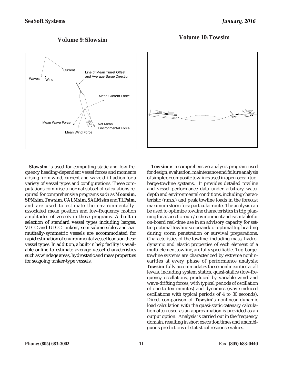## **Volume 9: Slowsim Volume 10: Towsim**



**Slowsim** is used for computing static and low-frequency heading-dependent vessel forces and moments arising from wind, current and wave drift action for a variety of vessel types and configurations. These computations comprise a normal subset of calculations required for comprehensive programs such as **Moorsim**, **SPMsim**, **Towsim**, **CALMsim**, **SALMsim** and **TLPsim**, and are used to estimate the environmentallyassociated mean position and low-frequency motion amplitudes of vessels in these programs. A built-in selection of standard vessel types including barges, VLCC and ULCC tankers, semisubmersibles and azimuthally-symmetric vessels are accommodated for rapid estimation of environmental vessel loads on these vessel types. In addition, a built-in help facility is available online to estimate average vessel characteristics such as windage areas, hydrostatic and mass properties for seagoing tanker-type vessels.



**Towsim** is a comprehensive analysis program used for design, evaluation, maintenance and failure analysis of simple or composite towlines used in open-ocean tugbarge-towline systems. It provides detailed towline and vessel performance data under arbitrary water depth and environmental conditions, including characteristic (r.m.s.) and peak towline loads in the forecast maximum storm for a particular route. The analysis can be used to optimize towline characteristics in trip planning for a specific route/environment and is suitable for on-board real-time use in an advisory capacity for setting optimal towline scope and/or optimal tug heading during storm penetration or survival preparations. Characteristics of the towline, including mass, hydrodynamic and elastic properties of each element of a multi-element towline, are fully specifiable. Tug-bargetowline systems are characterized by extreme nonlinearities at every phase of performance analysis; **Towsim** fully accommodates these nonlinearities at all levels, including system statics, quasi-statics (low-frequency oscillations, produced by variable wind and wave-drifting forces, with typical periods of oscillation of one to ten minutes) and dynamics (wave-induced oscillations with typical periods of 4 to 30 seconds). Direct comparison of **Towsim'**s nonlinear dynamic load calculation with the quasi-static catenary calculation often used as an approximation is provided as an output option. Analysis is carried out in the frequency domain, resulting in short execution times and unambiguous predictions of statistical response values.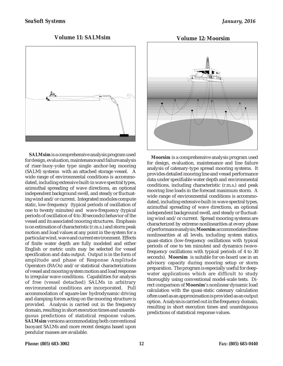### **Volume 11: SALMsim**



**SALMsim** is a comprehensive analysis program used for design, evaluation, maintenance and failure analysis of riser-buoy-yoke type single anchor-leg mooring (SALM) systems with an attached storage vessel. A wide range of environmental conditions is accommodated, including extensive built-in wave spectral types, azimuthal spreading of wave directions, an optional independent background swell, and steady or fluctuating wind and/or current. Integrated modules compute static, low-frequency (typical periods of oscillation of one to twenty minutes) and wave-frequency (typical periods of oscillation of 4 to 30 seconds) behavior of the vessel and its associated mooring structures. Emphasis is on estimation of characteristic (r.m.s.) and storm peak motion and load values at any point in the system for a particular wind, wave and current environment. Effects of finite water depth are fully modeled and either English or metric units may be selected for vessel specification and data output. Output is in the form of amplitude and phase of Response Amplitude Operators (RAOs) and/or statistical characterizations of vessel and mooring system motion and load response to irregular wave conditions. Capabilities for analysis of free (vessel detached) SALMs in arbitrary environmental conditions are incorporated. Full accommodation of square-law hydrodynamic driving and damping forces acting on the mooring structure is provided. Analysis is carried out in the frequency domain, resulting in short execution times and unambiguous predictions of statistical response values. **SALMsim** versions accommodating both conventional buoyant SALMs and more recent designs based upon pendular masses are available.



**Moorsim** is a comprehensive analysis program used for design, evaluation, maintenance and line failure analysis of catenary-type spread mooring systems. It provides detailed mooring line and vessel performance data under specifiable water depth and environmental conditions, including characteristic (r.m.s.) and peak mooring line loads in the forecast maximum storm. A wide range of environmental conditions is accommodated, including extensive built-in wave spectral types, azimuthal spreading of wave directions, an optional independent background swell, and steady or fluctuating wind and/or current. Spread mooring systems are characterized by extreme nonlinearities at every phase of performance analysis; **Moorsim** accommodates these nonlinearities at all levels, including system statics, quasi-statics (low-frequency oscillations with typical periods of one to ten minutes) and dynamics (wavefrequency oscillations with typical periods of 4 to 30 seconds). **Moorsim** is suitable for on-board use in an advisory capacity during mooring setup or storm preparation. The program is especially useful for deepwater applications which are difficult to study thoroughly using conventional model-scale tests. Direct comparison of **Moorsim'**s nonlinear dynamic load calculation with the quasi-static catenary calculation often used as an approximation is provided as an output option. Analysis is carried out in the frequency domain, resulting in short execution times and unambiguous predictions of statistical response values.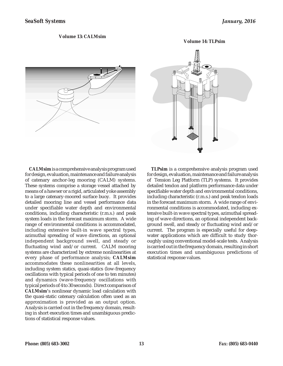#### **Volume 13: CALMsim**







**CALMsim** is a comprehensive analysis program used for design, evaluation, maintenance and failure analysis of catenary anchor-leg mooring (CALM) systems. These systems comprise a storage vessel attached by means of a hawser or a rigid, articulated yoke assembly to a large catenary-moored surface buoy. It provides detailed mooring line and vessel performance data under specifiable water depth and environmental conditions, including characteristic (r.m.s.) and peak system loads in the forecast maximum storm. A wide range of environmental conditions is accommodated, including extensive built-in wave spectral types, azimuthal spreading of wave directions, an optional independent background swell, and steady or fluctuating wind and/or current. CALM mooring systems are characterized by extreme nonlinearities at every phase of performance analysis; **CALMsim** accommodates these nonlinearities at all levels, including system statics, quasi-statics (low-frequency oscillations with typical periods of one to ten minutes) and dynamics (wave-frequency oscillations with typical periods of 4 to 30 seconds). Direct comparison of **CALMsim'**s nonlinear dynamic load calculation with the quasi-static catenary calculation often used as an approximation is provided as an output option. Analysis is carried out in the frequency domain, resulting in short execution times and unambiguous predictions of statistical response values.

**TLPsim** is a comprehensive analysis program used for design, evaluation, maintenance and failure analysis of Tension Leg Platform (TLP) systems. It provides detailed tendon and platform performance data under specifiable water depth and environmental conditions, including characteristic (r.m.s.) and peak tendon loads in the forecast maximum storm. A wide range of environmental conditions is accommodated, including extensive built-in wave spectral types, azimuthal spreading of wave directions, an optional independent background swell, and steady or fluctuating wind and/or current. The program is especially useful for deepwater applications which are difficult to study thoroughly using conventional model-scale tests. Analysis is carried out in the frequency domain, resulting in short execution times and unambiguous predictions of statistical response values.